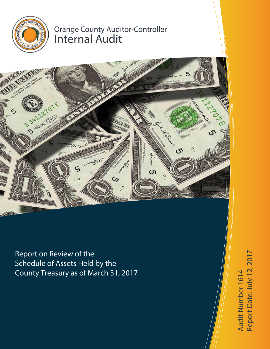

# Orange County Auditor-Controller Internal Audit



Report on Review of the Schedule of Assets Held by the County Treasury as of March 31, 2017

Audit Number 1614 Report D a te: July 12, 2017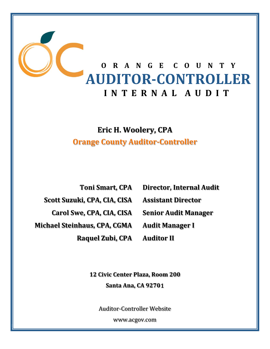

# **Eric H. Woolery, CPA Orange County Auditor‐Controller**

**Scott Suzuki, CPA, CIA, CISA Assistant Director**

**Carol Swe, CPA, CIA, CISA Senior Audit Manager**

**Michael Steinhaus, CPA, CGMA Audit Manager I**

**Raquel Zubi, CPA Auditor II**

**Toni Smart, CPA Director, Internal Audit**

**12 Civic Center Plaza, Room 200 Santa Ana, CA 92701**

Auditor‐Controller Website 

www.acgov.com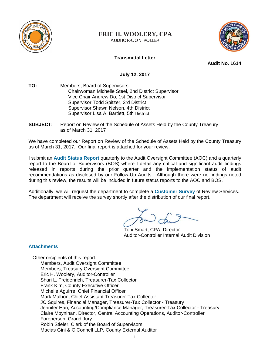

# **ERIC H. WOOLERY, CPA**

AUDITOR-CONTROLLER



## **Transmittal Letter**

**Audit No. 1614** 

**July 12, 2017** 

- **TO:** Members, Board of Supervisors Chairwoman Michelle Steel, 2nd District Supervisor Vice Chair Andrew Do, 1st District Supervisor Supervisor Todd Spitzer, 3rd District Supervisor Shawn Nelson, 4th District Supervisor Lisa A. Bartlett, 5th District
- **SUBJECT:** Report on Review of the Schedule of Assets Held by the County Treasury as of March 31, 2017

We have completed our Report on Review of the Schedule of Assets Held by the County Treasury as of March 31, 2017. Our final report is attached for your review.

I submit an **Audit Status Report** quarterly to the Audit Oversight Committee (AOC) and a quarterly report to the Board of Supervisors (BOS) where I detail any critical and significant audit findings released in reports during the prior quarter and the implementation status of audit recommendations as disclosed by our Follow-Up Audits. Although there were no findings noted during this review, the results will be included in future status reports to the AOC and BOS.

Additionally, we will request the department to complete a **Customer Survey** of Review Services. The department will receive the survey shortly after the distribution of our final report.

Toni Smart, CPA, Director Auditor-Controller Internal Audit Division

## **Attachments**

Other recipients of this report: Members, Audit Oversight Committee Members, Treasury Oversight Committee Eric H. Woolery, Auditor-Controller Shari L. Freidenrich, Treasurer-Tax Collector Frank Kim, County Executive Officer Michelle Aguirre, Chief Financial Officer Mark Malbon, Chief Assistant Treasurer-Tax Collector JC Squires, Financial Manager, Treasurer-Tax Collector - Treasury Jennifer Han, Accounting/Compliance Manager, Treasurer-Tax Collector - Treasury Claire Moynihan, Director, Central Accounting Operations, Auditor-Controller Foreperson, Grand Jury Robin Stieler, Clerk of the Board of Supervisors Macias Gini & O'Connell LLP, County External Auditor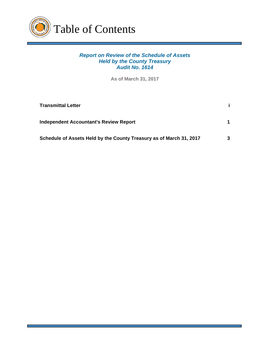

# *Report on Review of the Schedule of Assets Held by the County Treasury Audit No. 1614*

**As of March 31, 2017**

| <b>Transmittal Letter</b>                                           |   |
|---------------------------------------------------------------------|---|
| <b>Independent Accountant's Review Report</b>                       |   |
| Schedule of Assets Held by the County Treasury as of March 31, 2017 | 3 |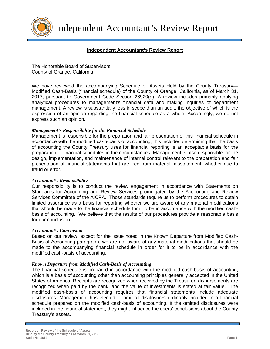

Independent Accountant's Review Report

## **Independent Accountant's Review Report**

The Honorable Board of Supervisors County of Orange, California

We have reviewed the accompanying Schedule of Assets Held by the County Treasury-Modified Cash-Basis (financial schedule) of the County of Orange, California, as of March 31, 2017, pursuant to Government Code Section 26920(a). A review includes primarily applying analytical procedures to management's financial data and making inquiries of department management. A review is substantially less in scope than an audit, the objective of which is the expression of an opinion regarding the financial schedule as a whole. Accordingly, we do not express such an opinion.

## *Management's Responsibility for the Financial Schedule*

Management is responsible for the preparation and fair presentation of this financial schedule in accordance with the modified cash-basis of accounting; this includes determining that the basis of accounting the County Treasury uses for financial reporting is an acceptable basis for the preparation of financial schedules in the circumstances. Management is also responsible for the design, implementation, and maintenance of internal control relevant to the preparation and fair presentation of financial statements that are free from material misstatement, whether due to fraud or error.

### *Accountant's Responsibility*

Our responsibility is to conduct the review engagement in accordance with Statements on Standards for Accounting and Review Services promulgated by the Accounting and Review Services Committee of the AICPA. Those standards require us to perform procedures to obtain limited assurance as a basis for reporting whether we are aware of any material modifications that should be made to the financial schedule for it to be in accordance with the modified cashbasis of accounting. We believe that the results of our procedures provide a reasonable basis for our conclusion.

### *Accountant's Conclusion*

Based on our review, except for the issue noted in the Known Departure from Modified Cash-Basis of Accounting paragraph, we are not aware of any material modifications that should be made to the accompanying financial schedule in order for it to be in accordance with the modified cash-basis of accounting.

### *Known Departure from Modified Cash-Basis of Accounting*

The financial schedule is prepared in accordance with the modified cash-basis of accounting, which is a basis of accounting other than accounting principles generally accepted in the United States of America. Receipts are recognized when received by the Treasurer; disbursements are recognized when paid by the bank; and the value of investments is stated at fair value. The modified cash-basis of accounting requires that financial statements include adequate disclosures. Management has elected to omit all disclosures ordinarily included in a financial schedule prepared on the modified cash-basis of accounting. If the omitted disclosures were included in the financial statement, they might influence the users' conclusions about the County Treasury's assets.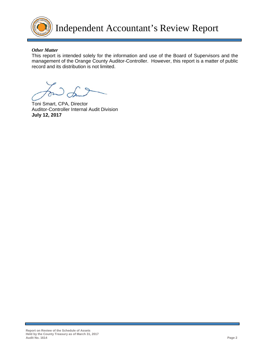

Independent Accountant's Review Report

### *Other Matter*

This report is intended solely for the information and use of the Board of Supervisors and the management of the Orange County Auditor-Controller. However, this report is a matter of public record and its distribution is not limited.

Toni Smart, CPA, Director Auditor-Controller Internal Audit Division **July 12, 2017**